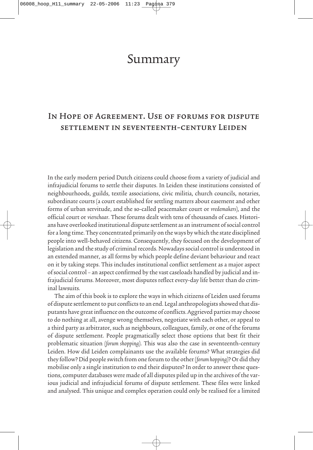## Summary

## In Hope of Agreement. Use of forums for dispute settlement in seventeenth-century Leiden

In the early modern period Dutch citizens could choose from a variety of judicial and infrajudicial forums to settle their disputes. In Leiden these institutions consisted of neighbourhoods, guilds, textile associations, civic militia, church councils, notaries, subordinate courts (a court established for settling matters about easement and other forms of urban servitude, and the so-called peacemaker court or vredemakers), and the official court or vierschaar. These forums dealt with tens of thousands of cases. Historians have overlooked institutional dispute settlement as an instrument of social control for a long time. They concentrated primarily on the ways by which the state disciplined people into well-behaved citizens. Consequently, they focused on the development of legislation and the study of criminal records. Nowadays social control is understood in an extended manner, as all forms by which people define deviant behaviour and react on it by taking steps. This includes institutional conflict settlement as a major aspect of social control – an aspect confirmed by the vast caseloads handled by judicial and infrajudicial forums. Moreover, most disputes reflect every-day life better than do criminal lawsuits.

The aim of this book is to explore the ways in which citizens of Leiden used forums of dispute settlement to put conflicts to an end. Legal anthropologists showed that disputants have great influence on the outcome of conflicts. Aggrieved parties may choose to do nothing at all, avenge wrong themselves, negotiate with each other, or appeal to a third party as arbitrator, such as neighbours, colleagues, family, or one of the forums of dispute settlement. People pragmatically select those options that best fit their problematic situation (forum shopping). This was also the case in seventeenth-century Leiden. How did Leiden complainants use the available forums? What strategies did they follow? Did people switch from one forum to the other (forum hopping)? Or did they mobilise only a single institution to end their disputes? In order to answer these questions, computer databases were made of all disputes piled up in the archives of the various judicial and infrajudicial forums of dispute settlement. These files were linked and analysed. This unique and complex operation could only be realised for a limited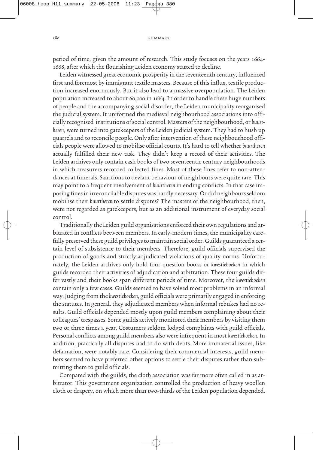380 SUMMARY

period of time, given the amount of research. This study focuses on the years 1664- 1668, after which the flourishing Leiden economy started to decline.

Leiden witnessed great economic prosperity in the seventeenth century, influenced first and foremost by immigrant textile masters. Because of this influx, textile production increased enormously. But it also lead to a massive overpopulation. The Leiden population increased to about 60,000 in 1664. In order to handle these huge numbers of people and the accompanying social disorder, the Leiden municipality reorganised the judicial system. It uniformed the medieval neighbourhood associations into officially recognised institutions of social control. Masters of the neighbourhood, or buurtheren, were turned into gatekeepers of the Leiden judicial system. They had to hush up quarrels and to reconcile people. Only after intervention of these neighbourhood officials people were allowed to mobilise official courts. It's hard to tell whether buurtheren actually fulfilled their new task. They didn't keep a record of their activities. The Leiden archives only contain cash books of two seventeenth-century neighbourhoods in which treasurers recorded collected fines. Most of these fines refer to non-attendances at funerals. Sanctions to deviant behaviour of neighbours were quite rare. This may point to a frequent involvement of buurtheren in ending conflicts. In that case imposing fines in irreconcilable disputes was hardly necessary. Or did neighbours seldom mobilise their buurtheren to settle disputes? The masters of the neighbourhood, then, were not regarded as gatekeepers, but as an additional instrument of everyday social control.

Traditionally the Leiden guild organisations enforced their own regulations and arbitrated in conflicts between members. In early-modern times, the municipality carefully preserved these guild privileges to maintain social order. Guilds guaranteed a certain level of subsistence to their members. Therefore, guild officials supervised the production of goods and strictly adjudicated violations of quality norms. Unfortunately, the Leiden archives only hold four question books or kwestieboeken in which guilds recorded their activities of adjudication and arbitration. These four guilds differ vastly and their books span different periods of time. Moreover, the kwestieboeken contain only a few cases. Guilds seemed to have solved most problems in an informal way. Judging from the kwestieboeken, guild officials were primarily engaged in enforcing the statutes. In general, they adjudicated members when informal rebukes had no results. Guild officials depended mostly upon guild members complaining about their colleagues' trespasses. Some guilds actively monitored their members by visiting them two or three times a year. Costumers seldom lodged complaints with guild officials. Personal conflicts among guild members also were infrequent in most kwestieboeken. In addition, practically all disputes had to do with debts. More immaterial issues, like defamation, were notably rare. Considering their commercial interests, guild members seemed to have preferred other options to settle their disputes rather than submitting them to guild officials.

Compared with the guilds, the cloth association was far more often called in as arbitrator. This government organization controlled the production of heavy woollen cloth or drapery, on which more than two-thirds of the Leiden population depended.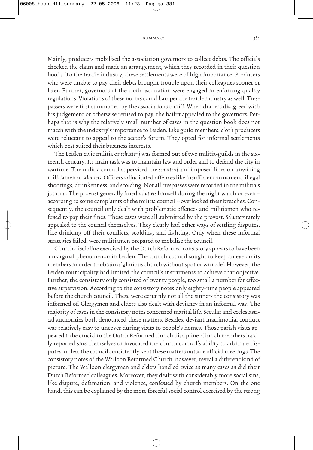## summary 381

Mainly, producers mobilised the association governors to collect debts. The officials checked the claim and made an arrangement, which they recorded in their question books. To the textile industry, these settlements were of high importance. Producers who were unable to pay their debts brought trouble upon their colleagues sooner or later. Further, governors of the cloth association were engaged in enforcing quality regulations. Violations of these norms could hamper the textile industry as well. Trespassers were first summoned by the associations bailiff. When drapers disagreed with his judgement or otherwise refused to pay, the bailiff appealed to the governors. Perhaps that is why the relatively small number of cases in the question book does not match with the industry's importance to Leiden. Like guild members, cloth producers were reluctant to appeal to the sector's forum. They opted for informal settlements which best suited their business interests.

The Leiden civic militia or schutterij was formed out of two militia-guilds in the sixteenth century. Its main task was to maintain law and order and to defend the city in wartime. The militia council supervised the schutterij and imposed fines on unwilling militiamen or schutters. Officers adjudicated offences like insufficient armament, illegal shootings, drunkenness, and scolding. Not all trespasses were recorded in the militia's journal. The provost generally fined schutters himself during the night watch or even – according to some complaints of the militia council – overlooked their breaches. Consequently, the council only dealt with problematic offences and militiamen who refused to pay their fines. These cases were all submitted by the provost. Schutters rarely appealed to the council themselves. They clearly had other ways of settling disputes, like drinking off their conflicts, scolding, and fighting. Only when these informal strategies failed, were militiamen prepared to mobilise the council.

Church discipline exercised by the Dutch Reformed consistory appears to have been a marginal phenomenon in Leiden. The church council sought to keep an eye on its members in order to obtain a 'glorious church without spot or wrinkle'. However, the Leiden municipality had limited the council's instruments to achieve that objective. Further, the consistory only consisted of twenty people, too small a number for effective supervision. According to the consistory notes only eighty-nine people appeared before the church council. These were certainly not all the sinners the consistory was informed of. Clergymen and elders also dealt with deviancy in an informal way. The majority of cases in the consistory notes concerned marital life. Secular and ecclesiastical authorities both denounced these matters. Besides, deviant matrimonial conduct was relatively easy to uncover during visits to people's homes. Those parish visits appeared to be crucial to the Dutch Reformed church discipline. Church members hardly reported sins themselves or invocated the church council's ability to arbitrate disputes, unless the council consistently kept these matters outside official meetings. The consistory notes of the Walloon Reformed Church, however, reveal a different kind of picture. The Walloon clergymen and elders handled twice as many cases as did their Dutch Reformed colleagues. Moreover, they dealt with considerably more social sins, like dispute, defamation, and violence, confessed by church members. On the one hand, this can be explained by the more forceful social control exercised by the strong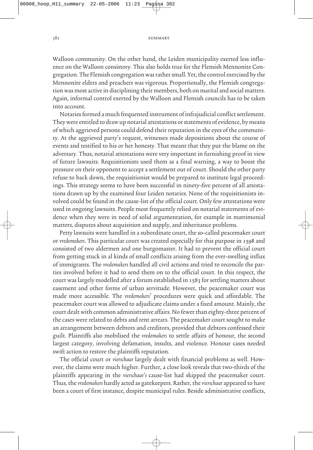382 SUMMARY

Walloon community. On the other hand, the Leiden municipality exerted less influence on the Walloon consistory. This also holds true for the Flemish Mennonite Congregation. The Flemish congregation was rather small. Yet, the control exercised by the Mennonite elders and preachers was vigorous. Proportionally, the Flemish congregation was most active in disciplining their members, both on marital and social matters. Again, informal control exerted by the Walloon and Flemish councils has to be taken into account.

Notaries formed a much frequented instrument of infrajudicial conflict settlement. They were entitled to draw up notarial attestations or statements of evidence, by means of which aggrieved persons could defend their reputation in the eyes of the community. At the aggrieved party's request, witnesses made depositions about the course of events and testified to his or her honesty. That meant that they put the blame on the adversary. Thus, notarial attestations were very important in furnishing proof in view of future lawsuits. Requisitionists used them as a final warning, a way to boost the pressure on their opponent to accept a settlement out of court. Should the other party refuse to back down, the requisitionist would be prepared to institute legal proceedings. This strategy seems to have been successful in ninety-five percent of all attestations drawn up by the examined four Leiden notaries. None of the requisitionists involved could be found in the cause-list of the official court. Only few attestations were used in ongoing lawsuits. People most frequently relied on notarial statements of evidence when they were in need of solid argumentation, for example in matrimonial matters, disputes about acquisition and supply, and inheritance problems.

Petty lawsuits were handled in a subordinate court, the so-called peacemaker court or vredemakers. This particular court was created especially for this purpose in 1598 and consisted of two aldermen and one burgomaster. It had to prevent the official court from getting stuck in al kinds of small conflicts arising from the ever-swelling influx of immigrants. The vredemakers handled all civil actions and tried to reconcile the parties involved before it had to send them on to the official court. In this respect, the court was largely modelled after a forum established in 1583 for settling matters about easement and other forms of urban servitude. However, the peacemaker court was made more accessible. The vredemakers' procedures were quick and affordable. The peacemaker court was allowed to adjudicate claims under a fixed amount. Mainly, the court dealt with common administrative affairs. No fewer than eighty-three percent of the cases were related to debts and rent arrears. The peacemaker court sought to make an arrangement between debtors and creditors, provided that debtors confessed their guilt. Plaintiffs also mobilised the vredemakers to settle affairs of honour, the second largest category, involving defamation, insults, and violence. Honour cases needed swift action to restore the plaintiffs reputation.

The official court or vierschaar largely dealt with financial problems as well. However, the claims were much higher. Further, a close look reveals that two-thirds of the plaintiffs appearing in the vierschaar's cause-list had skipped the peacemaker court. Thus, the vredemakers hardly acted as gatekeepers. Rather, the vierschaar appeared to have been a court of first instance, despite municipal rules. Beside administrative conflicts,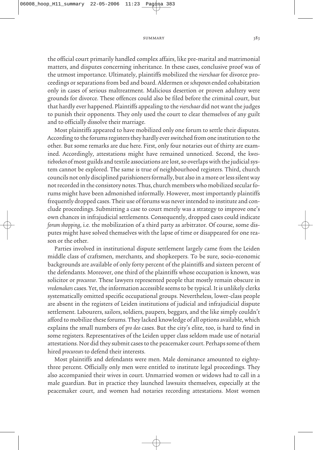summary 383

the official court primarily handled complex affairs, like pre-marital and matrimonial matters, and disputes concerning inheritance. In these cases, conclusive proof was of the utmost importance. Ultimately, plaintiffs mobilized the vierschaar for divorce proceedings or separations from bed and board. Aldermen or schepenen ended cohabitation only in cases of serious maltreatment. Malicious desertion or proven adultery were grounds for divorce. These offences could also be filed before the criminal court, but that hardly ever happened. Plaintiffs appealing to the vierschaar did not want the judges to punish their opponents. They only used the court to clear themselves of any guilt and to officially dissolve their marriage.

Most plaintiffs appeared to have mobilized only one forum to settle their disputes. According to the forums registers they hardly ever switched from one institution to the other. But some remarks are due here. First, only four notaries out of thirty are examined. Accordingly, attestations might have remained unnoticed. Second, the kwestieboeken of most guilds and textile associations are lost, so overlaps with the judicial system cannot be explored. The same is true of neighbourhood registers. Third, church councils not only disciplined parishioners formally, but also in a more or less silent way not recorded in the consistory notes. Thus, church members who mobilized secular forums might have been admonished informally. However, most importantly plaintiffs frequently dropped cases. Their use of forums was never intended to institute and conclude proceedings. Submitting a case to court merely was a strategy to improve one's own chances in infrajudicial settlements. Consequently, dropped cases could indicate forum shopping, i.e. the mobilization of a third party as arbitrator. Of course, some disputes might have solved themselves with the lapse of time or disappeared for one reason or the other.

Parties involved in institutional dispute settlement largely came from the Leiden middle class of craftsmen, merchants, and shopkeepers. To be sure, socio-economic backgrounds are available of only forty percent of the plaintiffs and sixteen percent of the defendants. Moreover, one third of the plaintiffs whose occupation is known, was solicitor or procureur. These lawyers represented people that mostly remain obscure in vredemakers cases. Yet, the information accessible seems to be typical. It is unlikely clerks systematically omitted specific occupational groups. Nevertheless, lower-class people are absent in the registers of Leiden institutions of judicial and infrajudicial dispute settlement. Labourers, sailors, soldiers, paupers, beggars, and the like simply couldn't afford to mobilize these forums. They lacked knowledge of all options available, which explains the small numbers of pro deo cases. But the city's elite, too, is hard to find in some registers. Representatives of the Leiden upper class seldom made use of notarial attestations. Nor did they submit cases to the peacemaker court. Perhaps some of them hired procureurs to defend their interests.

Most plaintiffs and defendants were men. Male dominance amounted to eightythree percent. Officially only men were entitled to institute legal proceedings. They also accompanied their wives in court. Unmarried women or widows had to call in a male guardian. But in practice they launched lawsuits themselves, especially at the peacemaker court, and women had notaries recording attestations. Most women